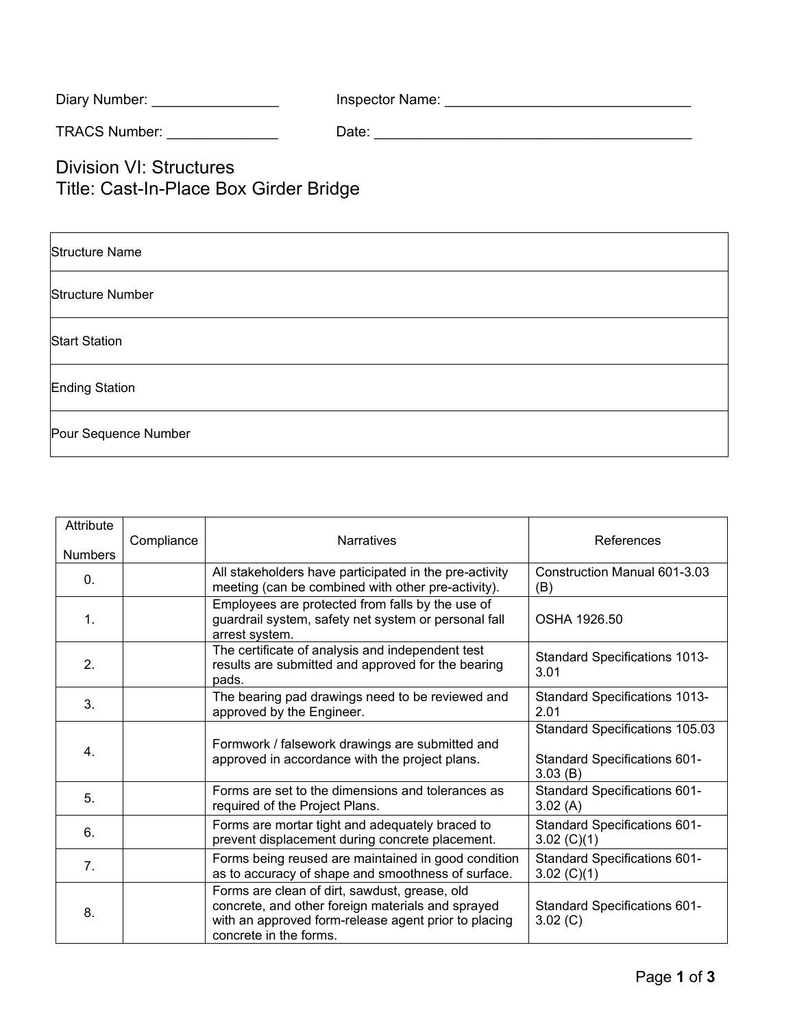| Diary Number: | Inspector Name: |  |
|---------------|-----------------|--|
|---------------|-----------------|--|

TRACS Number: \_\_\_\_\_\_\_\_\_\_\_\_\_\_ Date: \_\_\_\_\_\_\_\_\_\_\_\_\_\_\_\_\_\_\_\_\_\_\_\_\_\_\_\_\_\_\_\_\_\_\_\_\_\_\_\_

Division VI: Structures Title: Cast-In-Place Box Girder Bridge

| <b>Structure Name</b>   |
|-------------------------|
| <b>Structure Number</b> |
| <b>Start Station</b>    |
| <b>Ending Station</b>   |
| Pour Sequence Number    |

| Attribute<br><b>Numbers</b> | Compliance | <b>Narratives</b>                                                                                                                                                                    | References                                                                |
|-----------------------------|------------|--------------------------------------------------------------------------------------------------------------------------------------------------------------------------------------|---------------------------------------------------------------------------|
| 0.                          |            | All stakeholders have participated in the pre-activity<br>meeting (can be combined with other pre-activity).                                                                         | Construction Manual 601-3.03<br>(B)                                       |
| $\mathbf{1}$ .              |            | Employees are protected from falls by the use of<br>guardrail system, safety net system or personal fall<br>arrest system.                                                           | OSHA 1926.50                                                              |
| 2.                          |            | The certificate of analysis and independent test<br>results are submitted and approved for the bearing<br>pads.                                                                      | <b>Standard Specifications 1013-</b><br>3.01                              |
| 3.                          |            | The bearing pad drawings need to be reviewed and<br>approved by the Engineer.                                                                                                        | <b>Standard Specifications 1013-</b><br>2.01                              |
| 4.                          |            | Formwork / falsework drawings are submitted and<br>approved in accordance with the project plans.                                                                                    | Standard Specifications 105.03<br>Standard Specifications 601-<br>3.03(B) |
| 5.                          |            | Forms are set to the dimensions and tolerances as<br>required of the Project Plans.                                                                                                  | <b>Standard Specifications 601-</b><br>3.02(A)                            |
| 6.                          |            | Forms are mortar tight and adequately braced to<br>prevent displacement during concrete placement.                                                                                   | <b>Standard Specifications 601-</b><br>3.02 $(C)(1)$                      |
| 7.                          |            | Forms being reused are maintained in good condition<br>as to accuracy of shape and smoothness of surface.                                                                            | <b>Standard Specifications 601-</b><br>3.02 $(C)(1)$                      |
| 8.                          |            | Forms are clean of dirt, sawdust, grease, old<br>concrete, and other foreign materials and sprayed<br>with an approved form-release agent prior to placing<br>concrete in the forms. | Standard Specifications 601-<br>3.02 (C)                                  |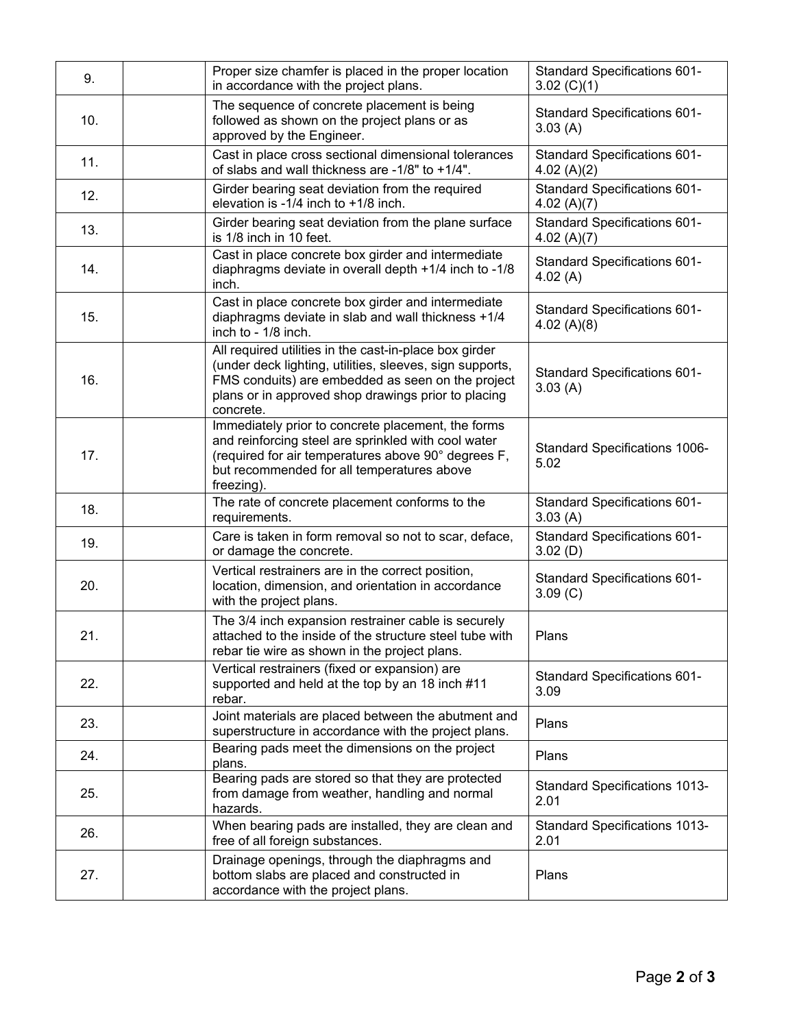| 9.  | Proper size chamfer is placed in the proper location<br>in accordance with the project plans.                                                                                                                                               | <b>Standard Specifications 601-</b><br>3.02 $(C)(1)$ |
|-----|---------------------------------------------------------------------------------------------------------------------------------------------------------------------------------------------------------------------------------------------|------------------------------------------------------|
| 10. | The sequence of concrete placement is being<br>followed as shown on the project plans or as<br>approved by the Engineer.                                                                                                                    | Standard Specifications 601-<br>3.03(A)              |
| 11. | Cast in place cross sectional dimensional tolerances<br>of slabs and wall thickness are -1/8" to +1/4".                                                                                                                                     | <b>Standard Specifications 601-</b><br>4.02 $(A)(2)$ |
| 12. | Girder bearing seat deviation from the required<br>elevation is -1/4 inch to $+1/8$ inch.                                                                                                                                                   | <b>Standard Specifications 601-</b><br>4.02 $(A)(7)$ |
| 13. | Girder bearing seat deviation from the plane surface<br>is 1/8 inch in 10 feet.                                                                                                                                                             | Standard Specifications 601-<br>4.02 $(A)(7)$        |
| 14. | Cast in place concrete box girder and intermediate<br>diaphragms deviate in overall depth +1/4 inch to -1/8<br>inch.                                                                                                                        | <b>Standard Specifications 601-</b><br>4.02 $(A)$    |
| 15. | Cast in place concrete box girder and intermediate<br>diaphragms deviate in slab and wall thickness +1/4<br>inch to - 1/8 inch.                                                                                                             | <b>Standard Specifications 601-</b><br>4.02 $(A)(8)$ |
| 16. | All required utilities in the cast-in-place box girder<br>(under deck lighting, utilities, sleeves, sign supports,<br>FMS conduits) are embedded as seen on the project<br>plans or in approved shop drawings prior to placing<br>concrete. | <b>Standard Specifications 601-</b><br>3.03(A)       |
| 17. | Immediately prior to concrete placement, the forms<br>and reinforcing steel are sprinkled with cool water<br>(required for air temperatures above 90° degrees F,<br>but recommended for all temperatures above<br>freezing).                | <b>Standard Specifications 1006-</b><br>5.02         |
| 18. | The rate of concrete placement conforms to the<br>requirements.                                                                                                                                                                             | Standard Specifications 601-<br>3.03(A)              |
| 19. | Care is taken in form removal so not to scar, deface,<br>or damage the concrete.                                                                                                                                                            | <b>Standard Specifications 601-</b><br>3.02(D)       |
| 20. | Vertical restrainers are in the correct position,<br>location, dimension, and orientation in accordance<br>with the project plans.                                                                                                          | <b>Standard Specifications 601-</b><br>3.09(C)       |
| 21. | The 3/4 inch expansion restrainer cable is securely<br>attached to the inside of the structure steel tube with<br>rebar tie wire as shown in the project plans.                                                                             | Plans                                                |
| 22. | Vertical restrainers (fixed or expansion) are<br>supported and held at the top by an 18 inch #11<br>rebar.                                                                                                                                  | <b>Standard Specifications 601-</b><br>3.09          |
| 23. | Joint materials are placed between the abutment and<br>superstructure in accordance with the project plans.                                                                                                                                 | Plans                                                |
| 24. | Bearing pads meet the dimensions on the project<br>plans.                                                                                                                                                                                   | Plans                                                |
| 25. | Bearing pads are stored so that they are protected<br>from damage from weather, handling and normal<br>hazards.                                                                                                                             | <b>Standard Specifications 1013-</b><br>2.01         |
| 26. | When bearing pads are installed, they are clean and<br>free of all foreign substances.                                                                                                                                                      | <b>Standard Specifications 1013-</b><br>2.01         |
| 27. | Drainage openings, through the diaphragms and<br>bottom slabs are placed and constructed in<br>accordance with the project plans.                                                                                                           | Plans                                                |